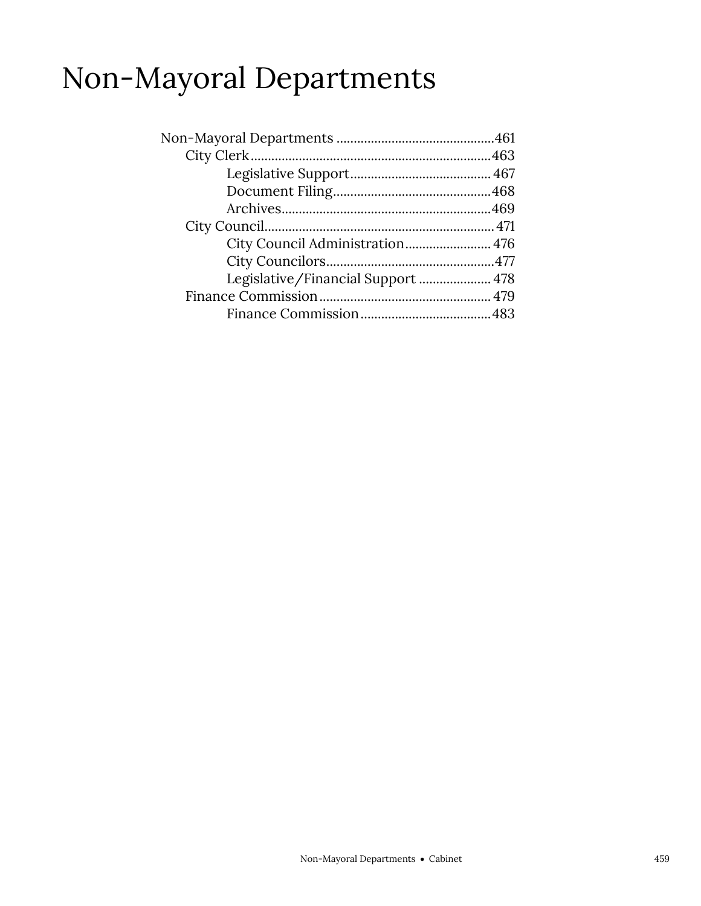### Non-Mayoral Departments

| Legislative/Financial Support  478 |  |
|------------------------------------|--|
|                                    |  |
|                                    |  |
|                                    |  |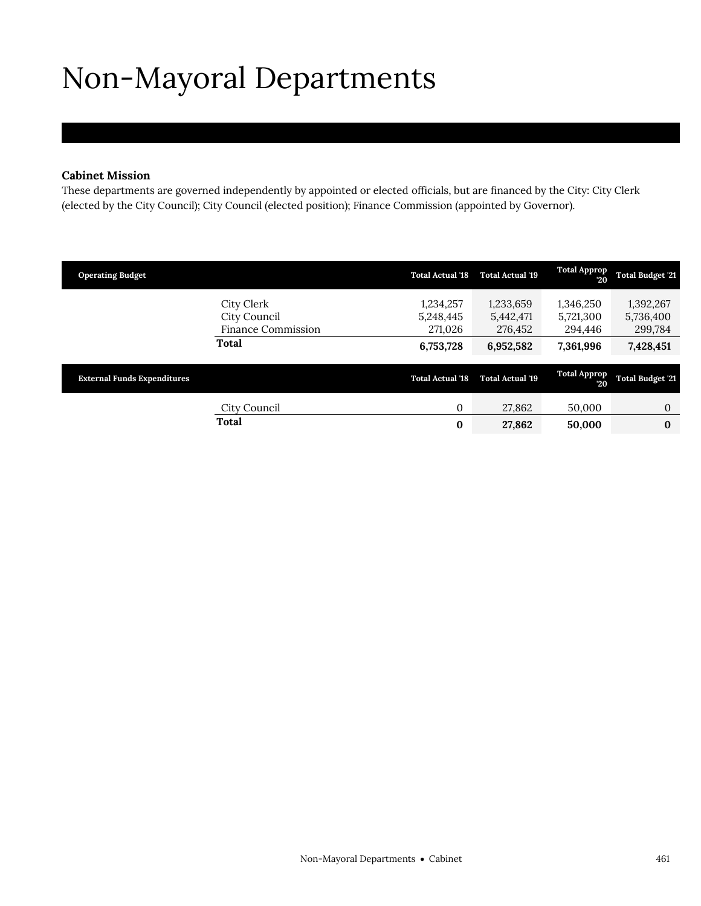# <span id="page-2-0"></span>Non-Mayoral Departments

### **Cabinet Mission**

These departments are governed independently by appointed or elected officials, but are financed by the City: City Clerk (elected by the City Council); City Council (elected position); Finance Commission (appointed by Governor).

| <b>Operating Budget</b>            |                                                                  | <b>Total Actual '18</b>                        | <b>Total Actual '19</b>                        | <b>Total Approp</b><br>20                      | <b>Total Budget '21</b>                        |
|------------------------------------|------------------------------------------------------------------|------------------------------------------------|------------------------------------------------|------------------------------------------------|------------------------------------------------|
|                                    | City Clerk<br>City Council<br><b>Finance Commission</b><br>Total | 1,234,257<br>5,248,445<br>271,026<br>6,753,728 | 1,233,659<br>5,442,471<br>276,452<br>6,952,582 | 1,346,250<br>5,721,300<br>294,446<br>7,361,996 | 1,392,267<br>5,736,400<br>299,784<br>7,428,451 |
| <b>External Funds Expenditures</b> |                                                                  | <b>Total Actual '18</b>                        | <b>Total Actual '19</b>                        | <b>Total Approp</b><br>20                      | <b>Total Budget '21</b>                        |
|                                    | City Council                                                     | $\mathbf{0}$                                   | 27,862                                         | 50,000                                         | $\mathbf{0}$                                   |
|                                    | <b>Total</b>                                                     | 0                                              | 27,862                                         | 50,000                                         | $\bf{0}$                                       |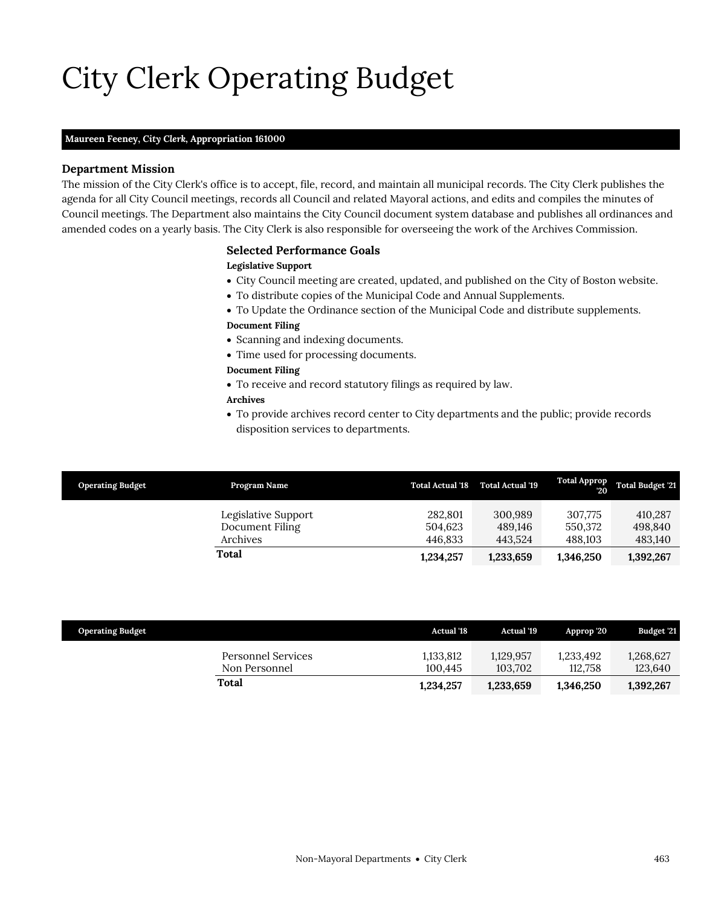# City Clerk Operating Budget

### **Maureen Feeney,** *City Clerk,* **Appropriation 161000**

### **Department Mission**

The mission of the City Clerk's office is to accept, file, record, and maintain all municipal records. The City Clerk publishes the agenda for all City Council meetings, records all Council and related Mayoral actions, and edits and compiles the minutes of Council meetings. The Department also maintains the City Council document system database and publishes all ordinances and amended codes on a yearly basis. The City Clerk is also responsible for overseeing the work of the Archives Commission.

#### <span id="page-4-0"></span>**Selected Performance Goals**

#### **Legislative Support**

- City Council meeting are created, updated, and published on the City of Boston website.
- To distribute copies of the Municipal Code and Annual Supplements.
- To Update the Ordinance section of the Municipal Code and distribute supplements. **Document Filing**

- Scanning and indexing documents.
- Time used for processing documents.

### **Document Filing**

To receive and record statutory filings as required by law.

### **Archives**

 To provide archives record center to City departments and the public; provide records disposition services to departments.

| <b>Operating Budget</b> | Program Name                                       | <b>Total Actual '18</b>       | <b>Total Actual '19</b>       | <b>Total Approp</b><br>20     | <b>Total Budget '21</b>       |
|-------------------------|----------------------------------------------------|-------------------------------|-------------------------------|-------------------------------|-------------------------------|
|                         | Legislative Support<br>Document Filing<br>Archives | 282.801<br>504.623<br>446.833 | 300.989<br>489.146<br>443.524 | 307.775<br>550.372<br>488.103 | 410,287<br>498,840<br>483,140 |
|                         | Total                                              | 1,234,257                     | 1,233,659                     | 1,346,250                     | 1,392,267                     |

| <b>Operating Budget</b>             | <b>Actual</b> '18    | Actual '19           | Approp '20           | Budget '21           |
|-------------------------------------|----------------------|----------------------|----------------------|----------------------|
| Personnel Services<br>Non Personnel | 1,133,812<br>100.445 | 1.129.957<br>103.702 | 1.233.492<br>112.758 | 1,268,627<br>123,640 |
| Total                               | 1,234,257            | 1,233,659            | 1,346,250            | 1,392,267            |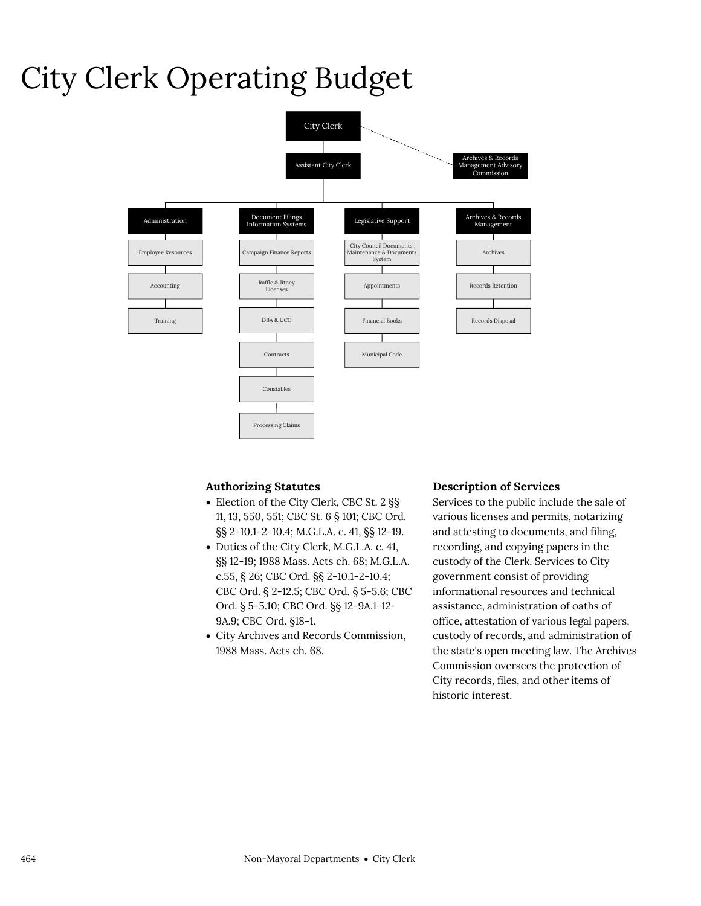### City Clerk Operating Budget



### **Authorizing Statutes**

- Election of the City Clerk, CBC St. 2 §§ 11, 13, 550, 551; CBC St. 6 § 101; CBC Ord. §§ 2-10.1-2-10.4; M.G.L.A. c. 41, §§ 12-19.
- Duties of the City Clerk, M.G.L.A. c. 41, §§ 12-19; 1988 Mass. Acts ch. 68; M.G.L.A. c.55, § 26; CBC Ord. §§ 2-10.1-2-10.4; CBC Ord. § 2-12.5; CBC Ord. § 5-5.6; CBC Ord. § 5-5.10; CBC Ord. §§ 12-9A.1-12- 9A.9; CBC Ord. §18-1.
- City Archives and Records Commission, 1988 Mass. Acts ch. 68.

### **Description of Services**

Services to the public include the sale of various licenses and permits, notarizing and attesting to documents, and filing, recording, and copying papers in the custody of the Clerk. Services to City government consist of providing informational resources and technical assistance, administration of oaths of office, attestation of various legal papers, custody of records, and administration of the state's open meeting law. The Archives Commission oversees the protection of City records, files, and other items of historic interest.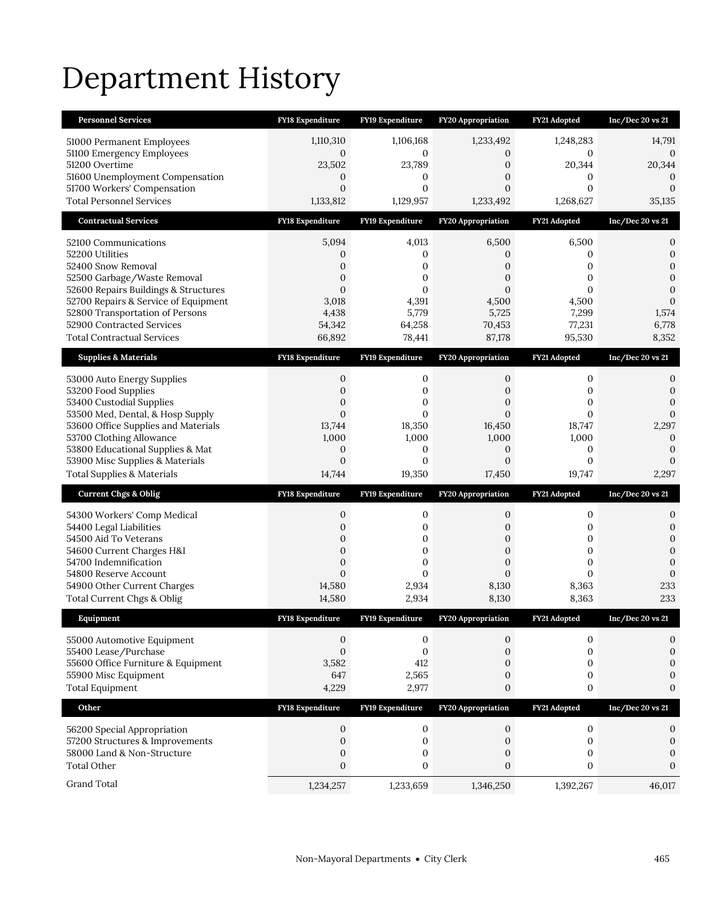# Department History

| <b>Personnel Services</b>                                               | FY18 Expenditure             | FY19 Expenditure             | <b>FY20 Appropriation</b>        | FY21 Adopted             | $Inc/Dec$ 20 vs 21               |
|-------------------------------------------------------------------------|------------------------------|------------------------------|----------------------------------|--------------------------|----------------------------------|
| 51000 Permanent Employees                                               | 1,110,310                    | 1,106,168                    | 1,233,492                        | 1,248,283                | 14,791                           |
| 51100 Emergency Employees                                               | 0                            | 0                            | 0                                | 0                        | 0                                |
| 51200 Overtime<br>51600 Unemployment Compensation                       | 23,502<br>$\mathbf{0}$       | 23,789<br>0                  | $\boldsymbol{0}$<br>0            | 20,344<br>0              | 20,344<br>0                      |
| 51700 Workers' Compensation                                             | $\mathbf{0}$                 | $\mathbf{0}$                 | $\mathbf{0}$                     | $\mathbf{0}$             | $\mathbf{0}$                     |
| <b>Total Personnel Services</b>                                         | 1,133,812                    | 1,129,957                    | 1,233,492                        | 1,268,627                | 35,135                           |
| <b>Contractual Services</b>                                             | FY18 Expenditure             | FY19 Expenditure             | FY20 Appropriation               | FY21 Adopted             | Inc/Dec 20 vs 21                 |
| 52100 Communications                                                    | 5,094                        | 4,013                        | 6,500                            | 6,500                    | 0                                |
| 52200 Utilities                                                         | 0                            | 0                            | $\mathbf{0}$                     | 0                        | $\boldsymbol{0}$                 |
| 52400 Snow Removal                                                      | 0                            | 0                            | $\overline{0}$                   | 0                        | $\mathbf{0}$                     |
| 52500 Garbage/Waste Removal<br>52600 Repairs Buildings & Structures     | $\mathbf{0}$<br>$\mathbf{0}$ | $\mathbf{0}$<br>$\mathbf{0}$ | $\overline{0}$<br>$\overline{0}$ | 0<br>$\overline{0}$      | $\boldsymbol{0}$<br>$\mathbf{0}$ |
| 52700 Repairs & Service of Equipment                                    | 3,018                        | 4,391                        | 4,500                            | 4,500                    | $\boldsymbol{0}$                 |
| 52800 Transportation of Persons                                         | 4,438                        | 5,779                        | 5,725                            | 7,299                    | 1,574                            |
| 52900 Contracted Services                                               | 54,342                       | 64,258                       | 70,453                           | 77,231                   | 6,778                            |
| <b>Total Contractual Services</b>                                       | 66,892                       | 78,441                       | 87,178                           | 95,530                   | 8,352                            |
| <b>Supplies &amp; Materials</b>                                         | <b>FY18 Expenditure</b>      | FY19 Expenditure             | <b>FY20 Appropriation</b>        | FY21 Adopted             | $Inc/Dec$ 20 vs 21               |
| 53000 Auto Energy Supplies                                              | 0                            | 0                            | 0                                | 0                        | 0                                |
| 53200 Food Supplies                                                     | $\boldsymbol{0}$             | 0                            | 0                                | 0                        | $\mathbf{0}$                     |
| 53400 Custodial Supplies                                                | $\mathbf{0}$                 | $\mathbf{0}$                 | $\mathbf{0}$                     | 0                        | $\mathbf{0}$                     |
| 53500 Med, Dental, & Hosp Supply<br>53600 Office Supplies and Materials | $\mathbf{0}$<br>13,744       | $\mathbf{0}$<br>18,350       | $\overline{0}$<br>16,450         | $\overline{0}$<br>18,747 | $\overline{0}$<br>2,297          |
| 53700 Clothing Allowance                                                | 1,000                        | 1,000                        | 1,000                            | 1,000                    | $\boldsymbol{0}$                 |
| 53800 Educational Supplies & Mat                                        | $\mathbf{0}$                 | 0                            | $\mathbf{0}$                     | 0                        | 0                                |
| 53900 Misc Supplies & Materials                                         | $\mathbf{0}$                 | $\mathbf{0}$                 | $\mathbf{0}$                     | $\mathbf{0}$             | $\mathbf{0}$                     |
|                                                                         |                              |                              |                                  |                          |                                  |
| <b>Total Supplies &amp; Materials</b>                                   | 14,744                       | 19,350                       | 17,450                           | 19,747                   | 2,297                            |
| <b>Current Chgs &amp; Oblig</b>                                         | <b>FY18 Expenditure</b>      | FY19 Expenditure             | <b>FY20 Appropriation</b>        | FY21 Adopted             | $Inc/Dec$ 20 vs 21               |
| 54300 Workers' Comp Medical                                             | 0                            | 0                            | 0                                | 0                        | 0                                |
| 54400 Legal Liabilities                                                 | $\mathbf{0}$                 | 0                            | 0                                | 0                        | $\mathbf{0}$                     |
| 54500 Aid To Veterans                                                   | $\boldsymbol{0}$             | 0                            | 0                                | 0                        | $\boldsymbol{0}$                 |
| 54600 Current Charges H&I                                               | $\mathbf{0}$                 | $\mathbf{0}$                 | $\mathbf{0}$                     | $\mathbf{0}$             | $\mathbf{0}$                     |
| 54700 Indemnification                                                   | $\mathbf{0}$                 | $\boldsymbol{0}$             | $\boldsymbol{0}$                 | 0                        | $\mathbf{0}$                     |
| 54800 Reserve Account<br>54900 Other Current Charges                    | $\mathbf{0}$<br>14,580       | $\mathbf{0}$<br>2,934        | $\mathbf{0}$<br>8,130            | $\overline{0}$<br>8,363  | $\mathbf{0}$<br>233              |
| Total Current Chgs & Oblig                                              | 14,580                       | 2,934                        | 8,130                            | 8,363                    | 233                              |
| Equipment                                                               | <b>FY18 Expenditure</b>      | <b>FY19 Expenditure</b>      | <b>FY20</b> Appropriation        | FY21 Adopted             | Inc/Dec 20 vs 21                 |
|                                                                         | 0                            | 0                            | 0                                | 0                        | 0                                |
| 55000 Automotive Equipment<br>55400 Lease/Purchase                      | $\mathbf{0}$                 | $\boldsymbol{0}$             | $\mathbf{0}$                     | 0                        | 0                                |
| 55600 Office Furniture & Equipment                                      | 3,582                        | 412                          | 0                                | $\boldsymbol{0}$         | 0                                |
| 55900 Misc Equipment                                                    | 647                          | 2,565                        | 0                                | $\boldsymbol{0}$         | 0                                |
| <b>Total Equipment</b>                                                  | 4,229                        | 2,977                        | $\mathbf{0}$                     | $\boldsymbol{0}$         | $\mathbf{0}$                     |
| Other                                                                   | FY18 Expenditure             | FY19 Expenditure             | FY20 Appropriation               | FY21 Adopted             | Inc/Dec 20 vs 21                 |
| 56200 Special Appropriation                                             | 0                            | 0                            | 0                                | 0                        | 0                                |
| 57200 Structures & Improvements                                         | 0                            | $\boldsymbol{0}$             | 0                                | 0                        | $\boldsymbol{0}$                 |
| 58000 Land & Non-Structure                                              | $\boldsymbol{0}$             | $\boldsymbol{0}$             | $\boldsymbol{0}$                 | $\boldsymbol{0}$         | $\mathbf{0}$                     |
| <b>Total Other</b><br>Grand Total                                       | $\boldsymbol{0}$             | $\boldsymbol{0}$             | $\mathbf{0}$                     | $\boldsymbol{0}$         | $\mathbf{0}$                     |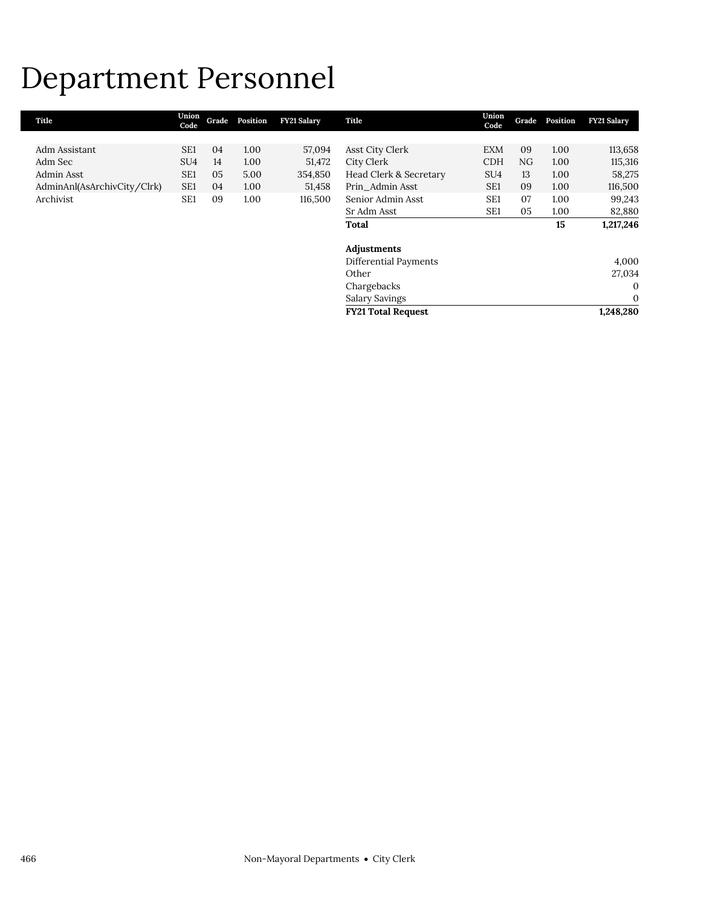### Department Personnel

| Union<br>Code   | Grade | Position | <b>FY21 Salary</b> | Title                     | Union<br>Code   | Grade | Position | <b>FY21 Salary</b> |
|-----------------|-------|----------|--------------------|---------------------------|-----------------|-------|----------|--------------------|
|                 |       |          |                    |                           |                 |       |          |                    |
| SE <sub>1</sub> | 04    | 1.00     | 57,094             | Asst City Clerk           | <b>EXM</b>      | 09    | 1.00     | 113,658            |
| SU <sub>4</sub> | 14    | 1.00     | 51,472             | City Clerk                | <b>CDH</b>      | NG    | 1.00     | 115,316            |
| SE <sub>1</sub> | 05    | 5.00     | 354,850            | Head Clerk & Secretary    | SU <sub>4</sub> | 13    | 1.00     | 58,275             |
| SE <sub>1</sub> | 04    | 1.00     | 51,458             | Prin Admin Asst           | SE <sub>1</sub> | 09    | 1.00     | 116,500            |
| SE <sub>1</sub> | 09    | 1.00     | 116,500            | Senior Admin Asst         | SE <sub>1</sub> | 07    | 1.00     | 99,243             |
|                 |       |          |                    | Sr Adm Asst               | SE <sub>1</sub> | 05    | 1.00     | 82,880             |
|                 |       |          |                    | Total                     |                 |       | 15       | 1,217,246          |
|                 |       |          |                    | Adjustments               |                 |       |          |                    |
|                 |       |          |                    | Differential Payments     |                 |       |          | 4,000              |
|                 |       |          |                    | Other                     |                 |       |          | 27,034             |
|                 |       |          |                    | Chargebacks               |                 |       |          | $\mathbf{0}$       |
|                 |       |          |                    | Salary Savings            |                 |       |          | $\mathbf{0}$       |
|                 |       |          |                    | <b>FY21 Total Request</b> |                 |       |          | 1,248,280          |
|                 |       |          |                    |                           |                 |       |          |                    |

L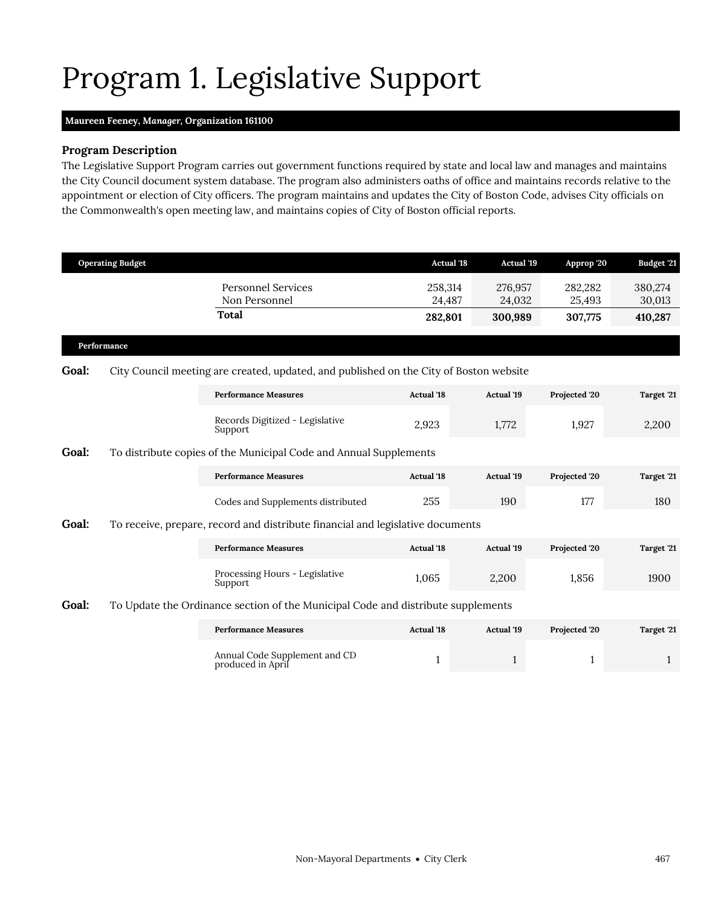### <span id="page-8-0"></span>Program 1. Legislative Support

### **Maureen Feeney,** *Manager,* **Organization 161100**

### **Program Description**

The Legislative Support Program carries out government functions required by state and local law and manages and maintains the City Council document system database. The program also administers oaths of office and maintains records relative to the appointment or election of City officers. The program maintains and updates the City of Boston Code, advises City officials on the Commonwealth's open meeting law, and maintains copies of City of Boston official reports.

|       | <b>Operating Budget</b> |                                                                                        | <b>Actual '18</b> | <b>Actual</b> '19 | Approp '20        | Budget '21        |  |
|-------|-------------------------|----------------------------------------------------------------------------------------|-------------------|-------------------|-------------------|-------------------|--|
|       |                         | <b>Personnel Services</b><br>Non Personnel                                             | 258,314<br>24,487 | 276,957<br>24,032 | 282,282<br>25,493 | 380,274<br>30,013 |  |
|       |                         | <b>Total</b>                                                                           | 282,801           | 300,989           | 307,775           | 410,287           |  |
|       | Performance             |                                                                                        |                   |                   |                   |                   |  |
| Goal: |                         | City Council meeting are created, updated, and published on the City of Boston website |                   |                   |                   |                   |  |
|       |                         | <b>Performance Measures</b>                                                            | <b>Actual</b> '18 | Actual '19        | Projected '20     | Target '21        |  |
|       |                         | Records Digitized - Legislative<br>Support                                             | 2,923             | 1,772             | 1,927             | 2,200             |  |
| Goal: |                         | To distribute copies of the Municipal Code and Annual Supplements                      |                   |                   |                   |                   |  |
|       |                         | <b>Performance Measures</b>                                                            | <b>Actual '18</b> | Actual '19        | Projected '20     | Target '21        |  |
|       |                         | Codes and Supplements distributed                                                      | 255               | 190               | 177               | 180               |  |
| Goal: |                         | To receive, prepare, record and distribute financial and legislative documents         |                   |                   |                   |                   |  |
|       |                         | <b>Performance Measures</b>                                                            | <b>Actual '18</b> | <b>Actual '19</b> | Projected '20     | Target '21        |  |
|       |                         | Processing Hours - Legislative<br>Support                                              | 1,065             | 2,200             | 1,856             | 1900              |  |
| Goal: |                         | To Update the Ordinance section of the Municipal Code and distribute supplements       |                   |                   |                   |                   |  |
|       |                         | <b>Performance Measures</b>                                                            | <b>Actual</b> '18 | <b>Actual '19</b> | Projected '20     | Target '21        |  |

| Performance Measures                               | Actual 18 | Actual 19 | Projected 20 | Target ZI |
|----------------------------------------------------|-----------|-----------|--------------|-----------|
| Annual Code Supplement and CD<br>produced in April |           |           |              |           |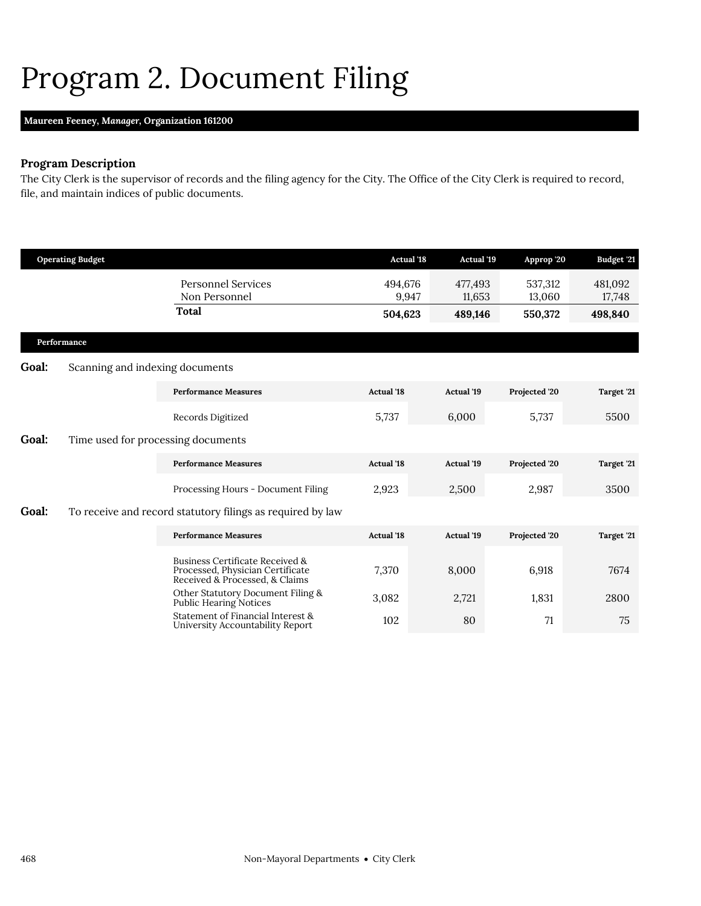### <span id="page-9-0"></span>Program 2. Document Filing

### **Maureen Feeney,** *Manager,* **Organization 161200**

### **Program Description**

The City Clerk is the supervisor of records and the filing agency for the City. The Office of the City Clerk is required to record, file, and maintain indices of public documents.

|              | <b>Operating Budget</b>                                                                               |                                                                       | <b>Actual '18</b> | <b>Actual</b> '19 | Approp '20        | <b>Budget '21</b> |
|--------------|-------------------------------------------------------------------------------------------------------|-----------------------------------------------------------------------|-------------------|-------------------|-------------------|-------------------|
|              |                                                                                                       | <b>Personnel Services</b><br>Non Personnel                            | 494,676<br>9,947  | 477,493<br>11,653 | 537,312<br>13,060 | 481,092<br>17,748 |
|              |                                                                                                       | <b>Total</b>                                                          | 504,623           | 489,146           | 550,372           | 498,840           |
|              | Performance                                                                                           |                                                                       |                   |                   |                   |                   |
| <b>Goal:</b> | Scanning and indexing documents                                                                       |                                                                       |                   |                   |                   |                   |
|              |                                                                                                       | <b>Performance Measures</b>                                           | <b>Actual</b> '18 | <b>Actual '19</b> | Projected '20     | Target '21        |
|              |                                                                                                       | Records Digitized                                                     | 5,737             | 6,000             | 5,737             | 5500              |
| Goal:        | Time used for processing documents                                                                    |                                                                       |                   |                   |                   |                   |
|              |                                                                                                       | <b>Performance Measures</b>                                           | <b>Actual</b> '18 | <b>Actual '19</b> | Projected '20     | Target '21        |
|              |                                                                                                       | Processing Hours - Document Filing                                    | 2,923             | 2,500             | 2,987             | 3500              |
| Goal:        |                                                                                                       | To receive and record statutory filings as required by law            |                   |                   |                   |                   |
|              |                                                                                                       | <b>Performance Measures</b>                                           | <b>Actual '18</b> | <b>Actual '19</b> | Projected '20     | Target '21        |
|              | Business Certificate Received &<br>Processed, Physician Certificate<br>Received & Processed, & Claims | 7,370                                                                 | 8,000             | 6,918             | 7674              |                   |
|              |                                                                                                       | Other Statutory Document Filing &<br>Public Hearing Notices           | 3,082             | 2,721             | 1,831             | 2800              |
|              |                                                                                                       | Statement of Financial Interest &<br>University Accountability Report | 102               | 80                | 71                | 75                |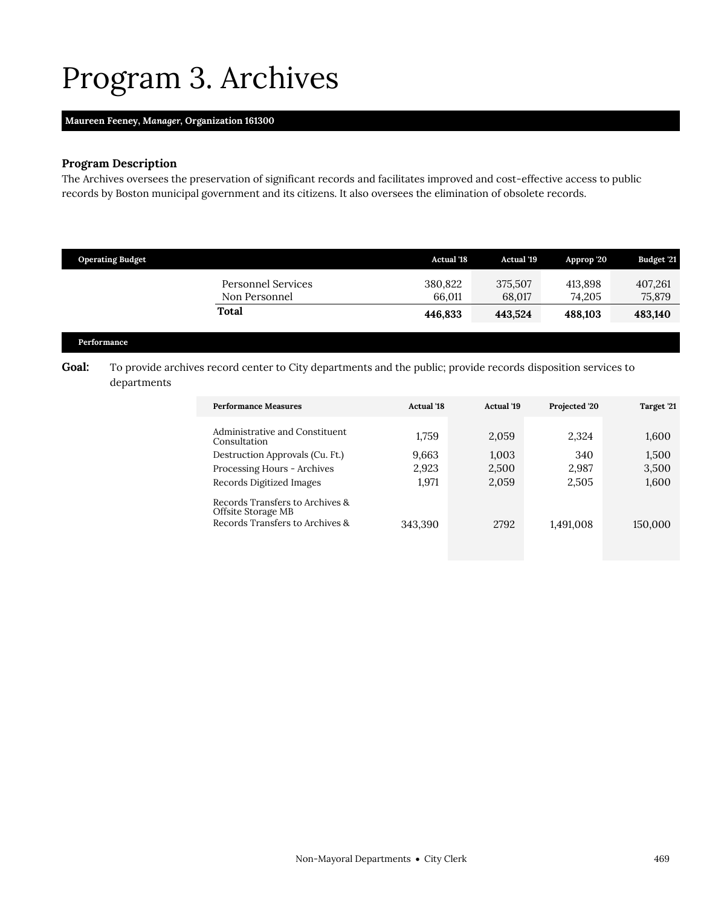### <span id="page-10-0"></span>Program 3. Archives

### **Maureen Feeney,** *Manager,* **Organization 161300**

### **Program Description**

The Archives oversees the preservation of significant records and facilitates improved and cost-effective access to public records by Boston municipal government and its citizens. It also oversees the elimination of obsolete records.

| <b>Operating Budget</b>             | <b>Actual</b> '18 | Actual '19        | Approp '20        | <b>Budget '21</b> |
|-------------------------------------|-------------------|-------------------|-------------------|-------------------|
| Personnel Services<br>Non Personnel | 380,822<br>66.011 | 375,507<br>68,017 | 413.898<br>74.205 | 407,261<br>75,879 |
| Total                               | 446,833           | 443.524           | 488.103           | 483,140           |

#### **Performance**

Goal: To provide archives record center to City departments and the public; provide records disposition services to departments

| <b>Performance Measures</b>                                                                | <b>Actual</b> '18       | <b>Actual</b> '19       | Projected '20         | Target '21              |
|--------------------------------------------------------------------------------------------|-------------------------|-------------------------|-----------------------|-------------------------|
| Administrative and Constituent<br>Consultation                                             | 1.759                   | 2,059                   | 2.324                 | 1,600                   |
| Destruction Approvals (Cu. Ft.)<br>Processing Hours - Archives<br>Records Digitized Images | 9,663<br>2,923<br>1.971 | 1,003<br>2,500<br>2,059 | 340<br>2,987<br>2,505 | 1,500<br>3,500<br>1,600 |
| Records Transfers to Archives &<br>Offsite Storage MB<br>Records Transfers to Archives &   | 343,390                 | 2792                    | 1,491,008             | 150,000                 |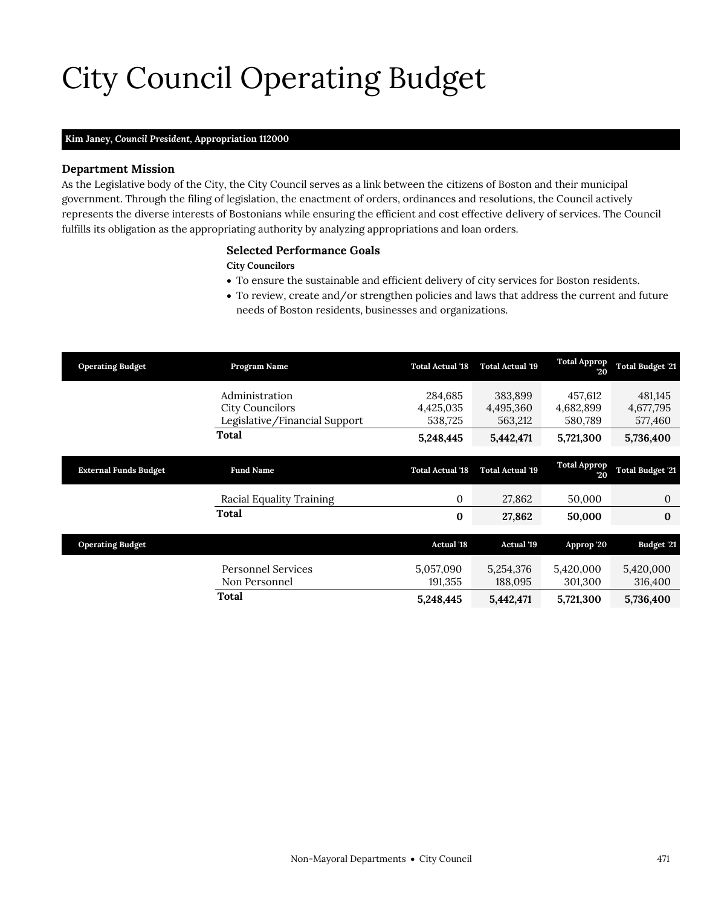# City Council Operating Budget

### **Kim Janey,** *Council President,* **Appropriation 112000**

#### **Department Mission**

As the Legislative body of the City, the City Council serves as a link between the citizens of Boston and their municipal government. Through the filing of legislation, the enactment of orders, ordinances and resolutions, the Council actively represents the diverse interests of Bostonians while ensuring the efficient and cost effective delivery of services. The Council fulfills its obligation as the appropriating authority by analyzing appropriations and loan orders.

### <span id="page-12-0"></span>**Selected Performance Goals**

#### **City Councilors**

- To ensure the sustainable and efficient delivery of city services for Boston residents.
- To review, create and/or strengthen policies and laws that address the current and future needs of Boston residents, businesses and organizations.

| <b>Operating Budget</b>      | Program Name                               | <b>Total Actual '18</b> | <b>Total Actual '19</b> | <b>Total Approp</b><br>20 | <b>Total Budget '21</b> |
|------------------------------|--------------------------------------------|-------------------------|-------------------------|---------------------------|-------------------------|
|                              | Administration                             | 284,685                 | 383,899                 | 457,612                   | 481,145                 |
|                              | <b>City Councilors</b>                     | 4,425,035               | 4,495,360               | 4,682,899                 | 4,677,795               |
|                              | Legislative/Financial Support              | 538,725                 | 563,212                 | 580,789                   | 577,460                 |
|                              | Total                                      | 5,248,445               | 5,442,471               | 5,721,300                 | 5,736,400               |
| <b>External Funds Budget</b> | <b>Fund Name</b>                           | <b>Total Actual '18</b> | <b>Total Actual '19</b> | <b>Total Approp</b><br>20 | <b>Total Budget '21</b> |
|                              | Racial Equality Training                   | $\mathbf{0}$            | 27,862                  | 50,000                    | 0                       |
|                              | Total                                      | $\bf{0}$                | 27,862                  | 50,000                    | $\bf{0}$                |
| <b>Operating Budget</b>      |                                            | <b>Actual '18</b>       | <b>Actual</b> '19       | Approp '20                | Budget '21              |
|                              | <b>Personnel Services</b><br>Non Personnel | 5,057,090<br>191,355    | 5,254,376<br>188,095    | 5,420,000<br>301,300      | 5,420,000<br>316,400    |
|                              | Total                                      | 5,248,445               | 5,442,471               | 5,721,300                 | 5,736,400               |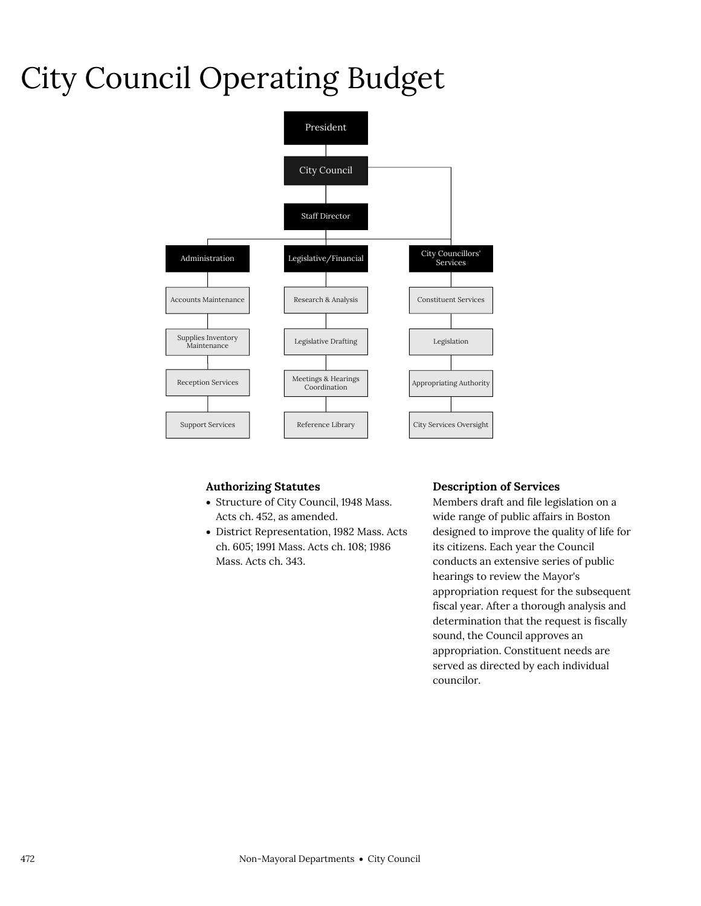# City Council Operating Budget



### **Authorizing Statutes**

- Structure of City Council, 1948 Mass. Acts ch. 452, as amended.
- District Representation, 1982 Mass. Acts ch. 605; 1991 Mass. Acts ch. 108; 1986 Mass. Acts ch. 343.

#### **Description of Services**

Members draft and file legislation on a wide range of public affairs in Boston designed to improve the quality of life for its citizens. Each year the Council conducts an extensive series of public hearings to review the Mayor's appropriation request for the subsequent fiscal year. After a thorough analysis and determination that the request is fiscally sound, the Council approves an appropriation. Constituent needs are served as directed by each individual councilor.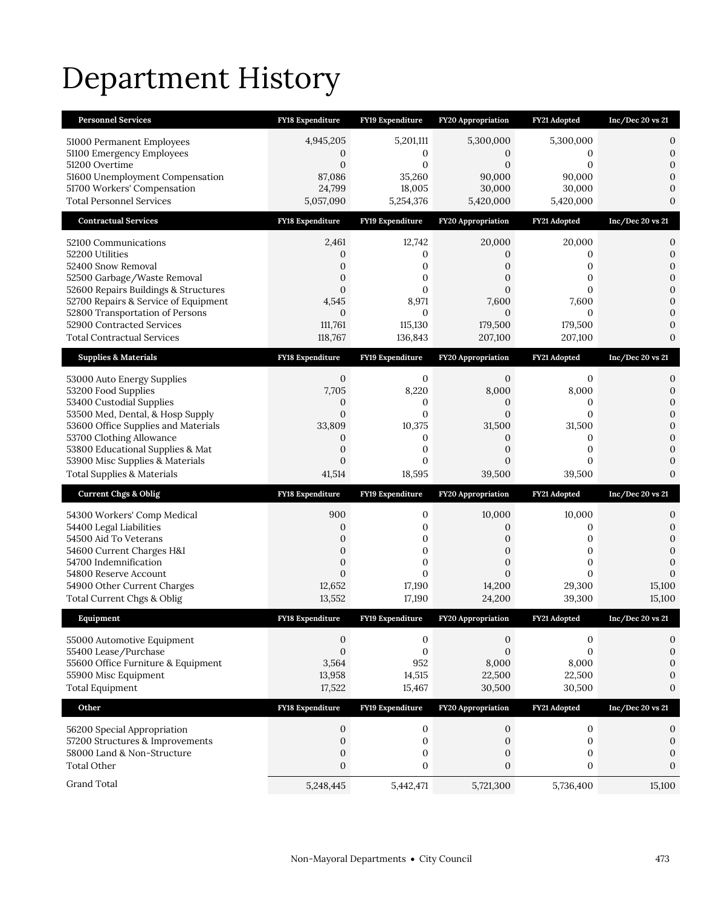# Department History

| <b>Personnel Services</b>                                                    | <b>FY18 Expenditure</b>  | FY19 Expenditure         | <b>FY20 Appropriation</b> | FY21 Adopted           | Inc/Dec 20 vs 21               |
|------------------------------------------------------------------------------|--------------------------|--------------------------|---------------------------|------------------------|--------------------------------|
| 51000 Permanent Employees                                                    | 4,945,205                | 5,201,111                | 5,300,000                 | 5,300,000              | 0                              |
| 51100 Emergency Employees                                                    | 0                        | 0                        | 0                         | 0                      | $\mathbf{0}$                   |
| 51200 Overtime<br>51600 Unemployment Compensation                            | $\mathbf{0}$<br>87,086   | $\overline{0}$<br>35,260 | $\overline{0}$<br>90,000  | $\mathbf{0}$<br>90,000 | $\mathbf{0}$<br>$\Omega$       |
| 51700 Workers' Compensation                                                  | 24,799                   | 18,005                   | 30,000                    | 30,000                 | $\mathbf{0}$                   |
| <b>Total Personnel Services</b>                                              | 5,057,090                | 5,254,376                | 5,420,000                 | 5,420,000              | $\mathbf{0}$                   |
| <b>Contractual Services</b>                                                  | FY18 Expenditure         | FY19 Expenditure         | FY20 Appropriation        | FY21 Adopted           | Inc/Dec 20 vs 21               |
| 52100 Communications                                                         | 2,461                    | 12,742                   | 20,000                    | 20,000                 | 0                              |
| 52200 Utilities                                                              | 0                        | 0                        | 0                         | 0                      | $\mathbf{0}$                   |
| 52400 Snow Removal                                                           | 0                        | 0                        | 0                         | $\mathbf{0}$           | $\mathbf{0}$                   |
| 52500 Garbage/Waste Removal                                                  | $\overline{0}$           | 0                        | $\overline{0}$            | $\mathbf{0}$           | $\mathbf{0}$                   |
| 52600 Repairs Buildings & Structures<br>52700 Repairs & Service of Equipment | $\overline{0}$<br>4,545  | $\overline{0}$<br>8,971  | $\overline{0}$<br>7,600   | $\Omega$<br>7,600      | $\mathbf{0}$<br>$\mathbf{0}$   |
| 52800 Transportation of Persons                                              | $\mathbf{0}$             | $\mathbf{0}$             | $\overline{0}$            | $\mathbf{0}$           | $\mathbf{0}$                   |
| 52900 Contracted Services                                                    | 111,761                  | 115,130                  | 179,500                   | 179,500                | $\mathbf{0}$                   |
| <b>Total Contractual Services</b>                                            | 118,767                  | 136,843                  | 207,100                   | 207,100                | $\mathbf{0}$                   |
| <b>Supplies &amp; Materials</b>                                              | <b>FY18 Expenditure</b>  | FY19 Expenditure         | <b>FY20 Appropriation</b> | FY21 Adopted           | Inc/Dec 20 vs 21               |
| 53000 Auto Energy Supplies                                                   | 0                        | 0                        | 0                         | 0                      | 0                              |
| 53200 Food Supplies                                                          | 7,705                    | 8,220                    | 8,000                     | 8,000                  | $\boldsymbol{0}$               |
| 53400 Custodial Supplies                                                     | 0                        | 0                        | 0                         | 0                      | $\mathbf{0}$                   |
| 53500 Med, Dental, & Hosp Supply<br>53600 Office Supplies and Materials      | $\mathbf{0}$             | 0                        | $\overline{0}$            | $\mathbf{0}$<br>31,500 | $\mathbf{0}$<br>$\overline{0}$ |
| 53700 Clothing Allowance                                                     | 33,809<br>0              | 10,375<br>0              | 31,500<br>0               | 0                      | $\overline{0}$                 |
| 53800 Educational Supplies & Mat                                             | $\overline{0}$           | 0                        | $\overline{0}$            | $\mathbf{0}$           | $\boldsymbol{0}$               |
|                                                                              |                          |                          |                           |                        |                                |
| 53900 Misc Supplies & Materials                                              | $\mathbf{0}$             | 0                        | $\overline{0}$            | $\mathbf{0}$           | $\mathbf{0}$                   |
| <b>Total Supplies &amp; Materials</b>                                        | 41,514                   | 18,595                   | 39,500                    | 39,500                 | $\mathbf{0}$                   |
| <b>Current Chgs &amp; Oblig</b>                                              | <b>FY18 Expenditure</b>  | FY19 Expenditure         | <b>FY20 Appropriation</b> | FY21 Adopted           | Inc/Dec 20 vs 21               |
| 54300 Workers' Comp Medical                                                  | 900                      | 0                        | 10,000                    | 10,000                 | 0                              |
| 54400 Legal Liabilities                                                      | $\mathbf{0}$             | 0                        | 0                         | 0                      | $\boldsymbol{0}$               |
| 54500 Aid To Veterans                                                        | 0                        | 0                        | $\overline{0}$            | $\mathbf{0}$           | $\boldsymbol{0}$               |
| 54600 Current Charges H&I                                                    | $\overline{0}$           | $\mathbf{0}$             | $\overline{0}$            | $\mathbf{0}$           | $\overline{0}$                 |
| 54700 Indemnification                                                        | 0                        | 0                        | 0                         | 0                      | $\mathbf{0}$                   |
| 54800 Reserve Account                                                        | $\overline{0}$<br>12,652 | $\overline{0}$<br>17,190 | $\overline{0}$<br>14,200  | $\mathbf{0}$<br>29,300 | $\mathbf{0}$<br>15,100         |
| 54900 Other Current Charges<br>Total Current Chgs & Oblig                    | 13,552                   | 17,190                   | 24,200                    | 39,300                 | 15,100                         |
| Equipment                                                                    | <b>FY18 Expenditure</b>  | FY19 Expenditure         | <b>FY20 Appropriation</b> | FY21 Adopted           | Inc/Dec 20 vs 21               |
|                                                                              | 0                        | 0                        | $\mathbf{0}$              | $\boldsymbol{0}$       | 0                              |
| 55000 Automotive Equipment<br>55400 Lease/Purchase                           | $\boldsymbol{0}$         | $\boldsymbol{0}$         | $\boldsymbol{0}$          | $\mathbf{0}$           | $\boldsymbol{0}$               |
| 55600 Office Furniture & Equipment                                           | 3,564                    | 952                      | 8,000                     | 8,000                  | $\mathbf{0}$                   |
| 55900 Misc Equipment                                                         | 13,958                   | 14,515                   | 22,500                    | 22,500                 | $\boldsymbol{0}$               |
| <b>Total Equipment</b>                                                       | 17,522                   | 15,467                   | 30,500                    | 30,500                 | $\mathbf{0}$                   |
| Other                                                                        | FY18 Expenditure         | FY19 Expenditure         | FY20 Appropriation        | FY21 Adopted           | Inc/Dec 20 vs 21               |
| 56200 Special Appropriation                                                  | 0                        | 0                        | $\mathbf{0}$              | $\boldsymbol{0}$       | 0                              |
| 57200 Structures & Improvements                                              | $\boldsymbol{0}$         | $\boldsymbol{0}$         | $\mathbf{0}$              | $\boldsymbol{0}$       | $\boldsymbol{0}$               |
| 58000 Land & Non-Structure                                                   | $\boldsymbol{0}$         | $\boldsymbol{0}$         | $\mathbf{0}$              | $\boldsymbol{0}$       | $\boldsymbol{0}$               |
| <b>Total Other</b>                                                           | $\boldsymbol{0}$         | $\boldsymbol{0}$         | $\boldsymbol{0}$          | $\boldsymbol{0}$       | $\boldsymbol{0}$               |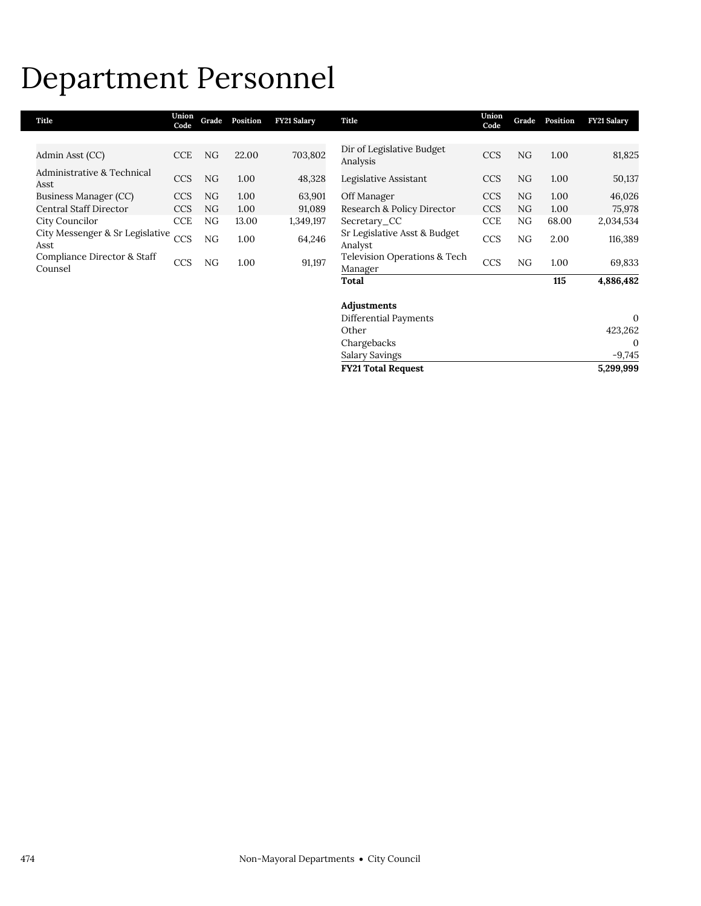### Department Personnel

| Title                                   | Union<br>Code | Grade | Position | <b>FY21 Salary</b> | Title                                   | Union<br>Code | Grade | Position | <b>FY21 Salary</b> |
|-----------------------------------------|---------------|-------|----------|--------------------|-----------------------------------------|---------------|-------|----------|--------------------|
|                                         |               |       |          |                    |                                         |               |       |          |                    |
| Admin Asst (CC)                         | <b>CCE</b>    | NG    | 22.00    | 703,802            | Dir of Legislative Budget<br>Analysis   | <b>CCS</b>    | NG    | 1.00     | 81,825             |
| Administrative & Technical<br>Asst      | <b>CCS</b>    | NG    | 1.00     | 48,328             | Legislative Assistant                   | <b>CCS</b>    | NG    | 1.00     | 50,137             |
| Business Manager (CC)                   | <b>CCS</b>    | NG    | 1.00     | 63,901             | Off Manager                             | <b>CCS</b>    | NG.   | 1.00     | 46,026             |
| Central Staff Director                  | <b>CCS</b>    | NG    | 1.00     | 91,089             | Research & Policy Director              | <b>CCS</b>    | NG    | 1.00     | 75,978             |
| City Councilor                          | <b>CCE</b>    | NG    | 13.00    | 1,349,197          | Secretary_CC                            | <b>CCE</b>    | NG    | 68.00    | 2,034,534          |
| City Messenger & Sr Legislative<br>Asst | CCS           | NG    | 1.00     | 64,246             | Sr Legislative Asst & Budget<br>Analyst | <b>CCS</b>    | NG    | 2.00     | 116,389            |
| Compliance Director & Staff<br>Counsel  | <b>CCS</b>    | NG    | 1.00     | 91,197             | Television Operations & Tech<br>Manager | <b>CCS</b>    | NG.   | 1.00     | 69,833             |
|                                         |               |       |          |                    | Total                                   |               |       | 115      | 4,886,482          |
|                                         |               |       |          |                    | Adjustments                             |               |       |          |                    |
|                                         |               |       |          |                    | Differential Payments                   |               |       |          | $\mathbf{0}$       |
|                                         |               |       |          |                    | Other                                   |               |       |          | 423,262            |

**FY21 Total Request** 

Chargebacks 0 Salary Savings<br>
FY21 Total Request<br>
FY21 Total Request<br>
5,299,999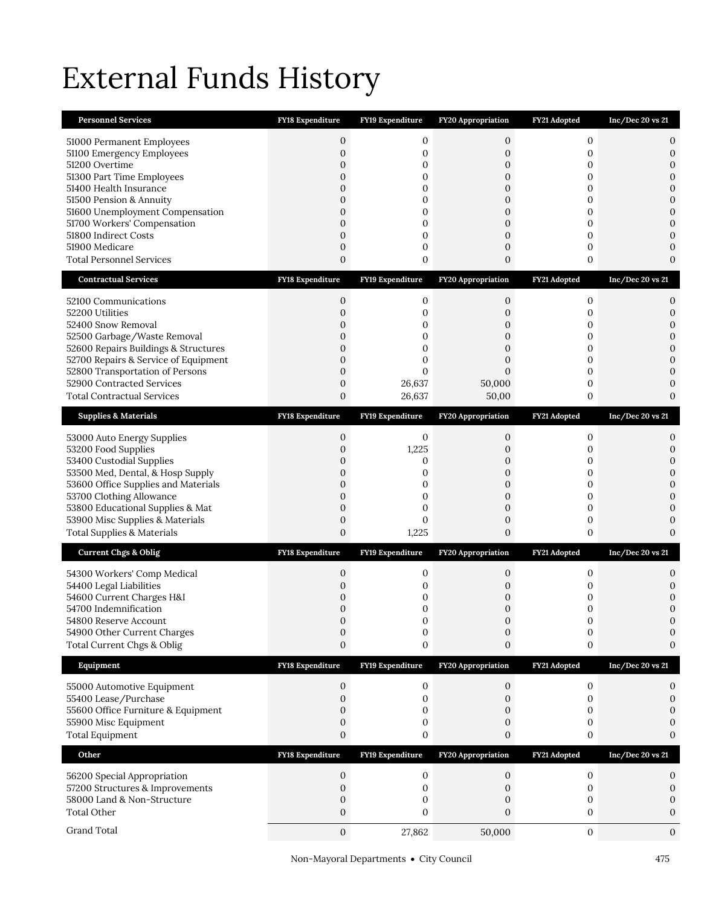# External Funds History

| <b>Personnel Services</b>                                               | FY18 Expenditure                 | FY19 Expenditure      | FY20 Appropriation                   | FY21 Adopted        | Inc/Dec 20 vs 21                 |
|-------------------------------------------------------------------------|----------------------------------|-----------------------|--------------------------------------|---------------------|----------------------------------|
| 51000 Permanent Employees                                               | 0                                | 0                     | 0                                    | 0                   | 0                                |
| 51100 Emergency Employees                                               | $\mathbf{0}$                     | $\boldsymbol{0}$      | $\boldsymbol{0}$                     | 0                   | $\mathbf{0}$                     |
| 51200 Overtime                                                          | 0                                | 0                     | 0                                    | 0                   | $\boldsymbol{0}$                 |
| 51300 Part Time Employees<br>51400 Health Insurance                     | 0<br>0                           | $\boldsymbol{0}$<br>0 | $\boldsymbol{0}$<br>$\mathbf{0}$     | 0<br>$\overline{0}$ | $\boldsymbol{0}$<br>$\mathbf{0}$ |
| 51500 Pension & Annuity                                                 | 0                                | $\boldsymbol{0}$      | 0                                    | 0                   | $\mathbf{0}$                     |
| 51600 Unemployment Compensation                                         | $\overline{0}$                   | $\overline{0}$        | $\overline{0}$                       | $\overline{0}$      | $\overline{0}$                   |
| 51700 Workers' Compensation                                             | $\overline{0}$                   | 0                     | $\boldsymbol{0}$                     | 0                   | $\mathbf{0}$                     |
| 51800 Indirect Costs                                                    | $\mathbf{0}$                     | 0                     | $\boldsymbol{0}$                     | 0                   | $\overline{0}$                   |
| 51900 Medicare<br><b>Total Personnel Services</b>                       | $\mathbf{0}$<br>$\mathbf{0}$     | 0<br>$\boldsymbol{0}$ | $\boldsymbol{0}$<br>$\boldsymbol{0}$ | 0<br>0              | $\mathbf{0}$<br>$\mathbf{0}$     |
|                                                                         |                                  |                       |                                      |                     |                                  |
| <b>Contractual Services</b>                                             | <b>FY18 Expenditure</b>          | FY19 Expenditure      | FY20 Appropriation                   | FY21 Adopted        | Inc/Dec 20 vs 21                 |
| 52100 Communications                                                    | 0                                | 0                     | 0                                    | 0                   | 0                                |
| 52200 Utilities                                                         | $\overline{0}$                   | 0                     | 0                                    | 0                   | $\boldsymbol{0}$                 |
| 52400 Snow Removal<br>52500 Garbage/Waste Removal                       | 0<br>0                           | 0<br>0                | 0<br>0                               | 0<br>0              | $\mathbf{0}$<br>$\mathbf{0}$     |
| 52600 Repairs Buildings & Structures                                    | $\mathbf{0}$                     | $\mathbf{0}$          | $\mathbf{0}$                         | 0                   | $\mathbf{0}$                     |
| 52700 Repairs & Service of Equipment                                    | $\overline{0}$                   | 0                     | $\overline{0}$                       | 0                   | $\mathbf{0}$                     |
| 52800 Transportation of Persons                                         | $\mathbf{0}$                     | $\overline{0}$        | $\overline{0}$                       | 0                   | $\mathbf{0}$                     |
| 52900 Contracted Services                                               | $\mathbf{0}$                     | 26,637                | 50,000                               | 0                   | $\mathbf{0}$                     |
| <b>Total Contractual Services</b>                                       | 0                                | 26,637                | 50,00                                | 0                   | $\mathbf{0}$                     |
| <b>Supplies &amp; Materials</b>                                         | <b>FY18 Expenditure</b>          | FY19 Expenditure      | FY20 Appropriation                   | FY21 Adopted        | Inc/Dec 20 vs 21                 |
| 53000 Auto Energy Supplies                                              | 0                                | 0                     | 0                                    | 0                   | 0                                |
| 53200 Food Supplies                                                     | $\overline{0}$                   | 1,225                 | 0                                    | 0                   | $\mathbf{0}$                     |
| 53400 Custodial Supplies                                                | 0                                | 0                     | 0                                    | 0                   | $\mathbf{0}$                     |
| 53500 Med, Dental, & Hosp Supply<br>53600 Office Supplies and Materials | $\overline{0}$<br>$\overline{0}$ | $\overline{0}$<br>0   | $\overline{0}$<br>0                  | $\overline{0}$<br>0 | $\overline{0}$<br>$\mathbf{0}$   |
| 53700 Clothing Allowance                                                | $\mathbf{0}$                     | 0                     | $\boldsymbol{0}$                     | 0                   | $\mathbf{0}$                     |
| 53800 Educational Supplies & Mat                                        | $\mathbf{0}$                     | 0                     | $\boldsymbol{0}$                     | 0                   | $\mathbf{0}$                     |
| 53900 Misc Supplies & Materials                                         | 0                                | $\mathbf{0}$          | 0                                    | 0                   | $\mathbf{0}$                     |
| <b>Total Supplies &amp; Materials</b>                                   | $\boldsymbol{0}$                 | 1,225                 | $\boldsymbol{0}$                     | 0                   | $\Omega$                         |
| <b>Current Chgs &amp; Oblig</b>                                         | <b>FY18 Expenditure</b>          | FY19 Expenditure      | <b>FY20 Appropriation</b>            | FY21 Adopted        | Inc/Dec 20 vs 21                 |
| 54300 Workers' Comp Medical                                             | 0                                | 0                     | 0                                    | 0                   | 0                                |
| 54400 Legal Liabilities                                                 | 0                                | 0                     | 0                                    | 0                   | $\mathbf{0}$                     |
| 54600 Current Charges H&I                                               | 0                                | 0                     | 0                                    | 0                   | $\mathbf{0}$                     |
| 54700 Indemnification<br>54800 Reserve Account                          | 0<br>$\Omega$                    | 0<br>$\Omega$         | 0<br>$\Omega$                        | 0<br>$\Omega$       | $\mathbf{0}$<br>$\Omega$         |
| 54900 Other Current Charges                                             | 0                                | 0                     | 0                                    | $\boldsymbol{0}$    | 0                                |
| Total Current Chgs & Oblig                                              | $\boldsymbol{0}$                 | 0                     | $\boldsymbol{0}$                     | 0                   | 0                                |
| Equipment                                                               | FY18 Expenditure                 | FY19 Expenditure      | FY20 Appropriation                   | FY21 Adopted        | $Inc/Dec$ 20 vs 21               |
| 55000 Automotive Equipment                                              | 0                                | $\boldsymbol{0}$      | 0                                    | $\boldsymbol{0}$    | 0                                |
| 55400 Lease/Purchase                                                    | 0                                | $\boldsymbol{0}$      | 0                                    | 0                   | 0                                |
| 55600 Office Furniture & Equipment                                      | 0                                | 0                     | 0                                    | 0                   |                                  |
| 55900 Misc Equipment                                                    | 0                                | 0                     | 0                                    | 0                   | $\Omega$                         |
| <b>Total Equipment</b>                                                  | $\boldsymbol{0}$                 | 0                     | $\boldsymbol{0}$                     | 0                   | 0                                |
| Other                                                                   | <b>FY18 Expenditure</b>          | FY19 Expenditure      | <b>FY20 Appropriation</b>            | FY21 Adopted        | Inc/Dec 20 vs 21                 |
| 56200 Special Appropriation                                             | 0                                | 0                     | 0                                    | $\mathbf{0}$        | 0                                |
| 57200 Structures & Improvements                                         | 0                                | 0                     | 0                                    | $\mathbf{0}$        | 0                                |
| 58000 Land & Non-Structure                                              | 0                                | 0                     | 0                                    | 0                   | 0                                |
| <b>Total Other</b>                                                      | 0                                | 0                     | 0                                    | 0                   | 0                                |
| Grand Total                                                             | 0                                | 27,862                | 50,000                               | $\boldsymbol{0}$    | $\mathbf{0}$                     |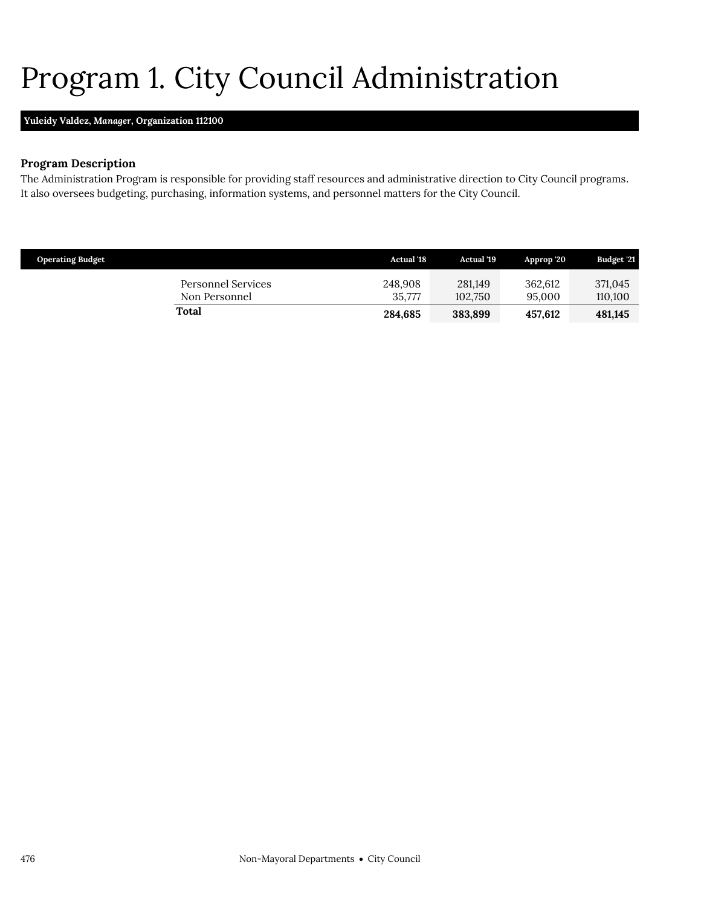# <span id="page-17-0"></span>Program 1. City Council Administration

### **Yuleidy Valdez,** *Manager,* **Organization 112100**

### **Program Description**

The Administration Program is responsible for providing staff resources and administrative direction to City Council programs. It also oversees budgeting, purchasing, information systems, and personnel matters for the City Council.

| <b>Operating Budget</b>             | <b>Actual</b> '18 | <b>Actual</b> '19  | Approp '20        | Budget '21         |
|-------------------------------------|-------------------|--------------------|-------------------|--------------------|
| Personnel Services<br>Non Personnel | 248,908<br>35,777 | 281.149<br>102.750 | 362.612<br>95,000 | 371,045<br>110,100 |
| Total                               | 284.685           | 383.899            | 457.612           | 481.145            |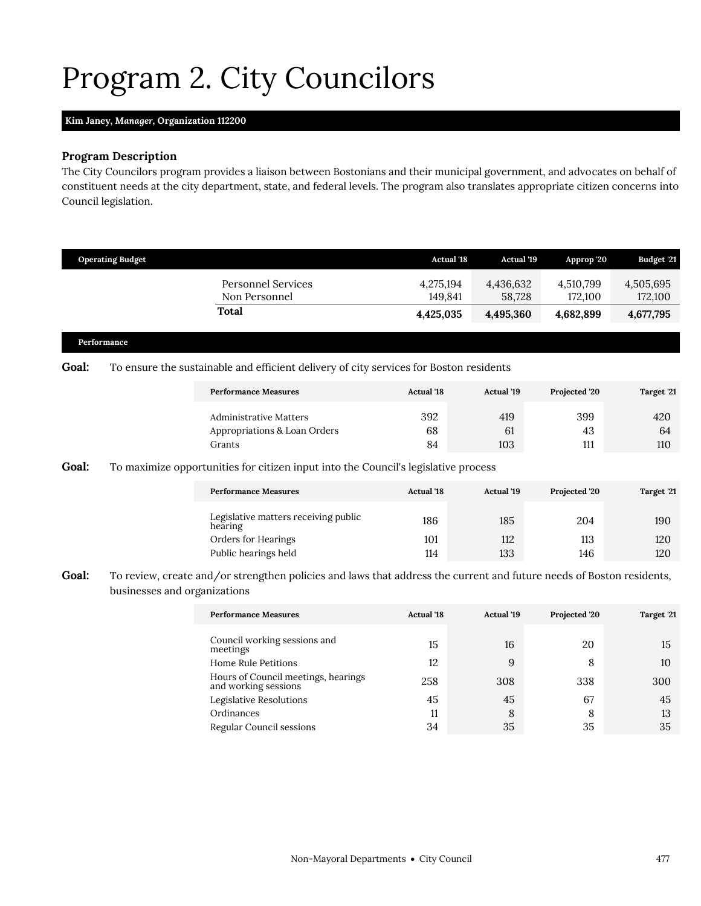# <span id="page-18-0"></span>Program 2. City Councilors

### **Kim Janey,** *Manager,* **Organization 112200**

#### **Program Description**

The City Councilors program provides a liaison between Bostonians and their municipal government, and advocates on behalf of constituent needs at the city department, state, and federal levels. The program also translates appropriate citizen concerns into Council legislation.

|              | <b>Operating Budget</b> |                                                                                        | <b>Actual '18</b>    | Actual '19          | Approp '20           | Budget '21           |
|--------------|-------------------------|----------------------------------------------------------------------------------------|----------------------|---------------------|----------------------|----------------------|
|              |                         | <b>Personnel Services</b><br>Non Personnel                                             | 4,275,194<br>149,841 | 4,436,632<br>58,728 | 4,510,799<br>172,100 | 4,505,695<br>172,100 |
|              |                         | Total                                                                                  | 4,425,035            | 4,495,360           | 4,682,899            | 4,677,795            |
|              | Performance             |                                                                                        |                      |                     |                      |                      |
| <b>Goal:</b> |                         | To ensure the sustainable and efficient delivery of city services for Boston residents |                      |                     |                      |                      |
|              |                         | <b>Performance Measures</b>                                                            | <b>Actual '18</b>    | <b>Actual</b> '19   | Projected '20        | Target '21           |
|              |                         | Administrative Matters                                                                 | 392                  | 419                 | 399                  | 420                  |
|              |                         | Appropriations & Loan Orders                                                           | 68                   | 61                  | 43                   | 64                   |
|              |                         | Grants                                                                                 | 84                   | 103                 | 111                  | 110                  |

### Goal: To maximize opportunities for citizen input into the Council's legislative process

| <b>Performance Measures</b>                     | <b>Actual</b> '18 | <b>Actual</b> '19 | Projected '20 | Target '21 |
|-------------------------------------------------|-------------------|-------------------|---------------|------------|
| Legislative matters receiving public<br>hearing | 186               | 185               | 204           | 190        |
| Orders for Hearings                             | 101               | 112               | 113           | 120        |
| Public hearings held                            | 114               | 133               | 146           | 120        |

Goal: To review, create and/or strengthen policies and laws that address the current and future needs of Boston residents, businesses and organizations

| <b>Performance Measures</b>                                 | <b>Actual</b> '18 | <b>Actual</b> '19 | Projected '20 | Target '21 |
|-------------------------------------------------------------|-------------------|-------------------|---------------|------------|
| Council working sessions and<br>meetings                    | 15                | 16                | 20            | 15         |
| Home Rule Petitions                                         | 12                | 9                 | 8             | 10         |
| Hours of Council meetings, hearings<br>and working sessions | 258               | 308               | 338           | 300        |
| Legislative Resolutions                                     | 45                | 45                | 67            | 45         |
| Ordinances                                                  | 11                | 8                 | 8             | 13         |
| Regular Council sessions                                    | 34                | 35                | 35            | 35         |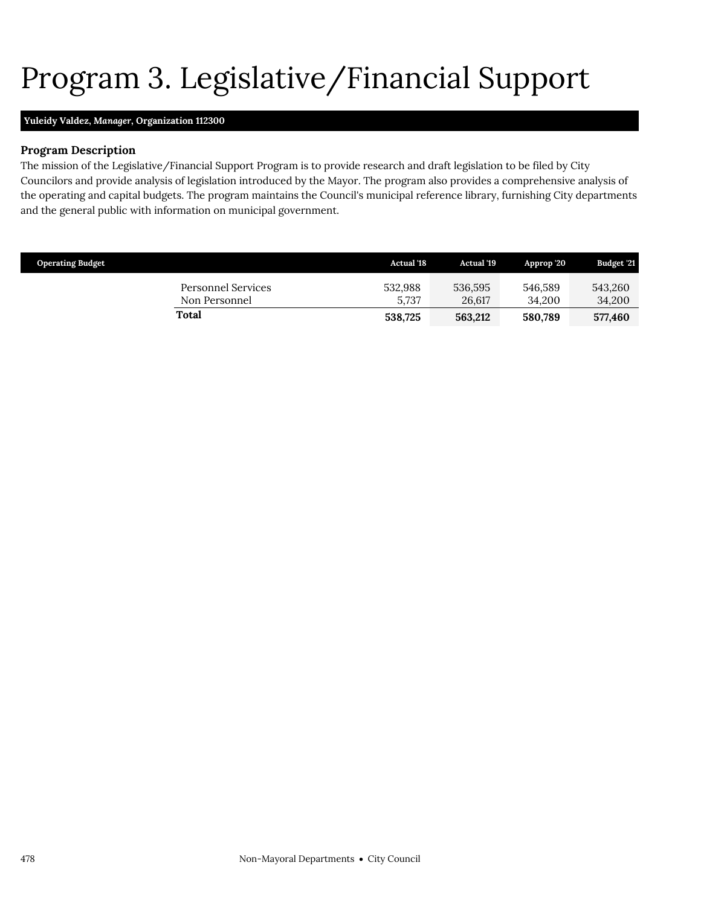# <span id="page-19-0"></span>Program 3. Legislative/Financial Support

### **Yuleidy Valdez,** *Manager,* **Organization 112300**

### **Program Description**

The mission of the Legislative/Financial Support Program is to provide research and draft legislation to be filed by City Councilors and provide analysis of legislation introduced by the Mayor. The program also provides a comprehensive analysis of the operating and capital budgets. The program maintains the Council's municipal reference library, furnishing City departments and the general public with information on municipal government.

| <b>Operating Budget</b> |                                     | <b>Actual</b> '18 | <b>Actual</b> '19 | Approp 20         | Budget '21        |
|-------------------------|-------------------------------------|-------------------|-------------------|-------------------|-------------------|
|                         | Personnel Services<br>Non Personnel | 532,988<br>5.737  | 536,595<br>26.617 | 546.589<br>34.200 | 543,260<br>34,200 |
|                         | Total                               | 538,725           | 563,212           | 580.789           | 577,460           |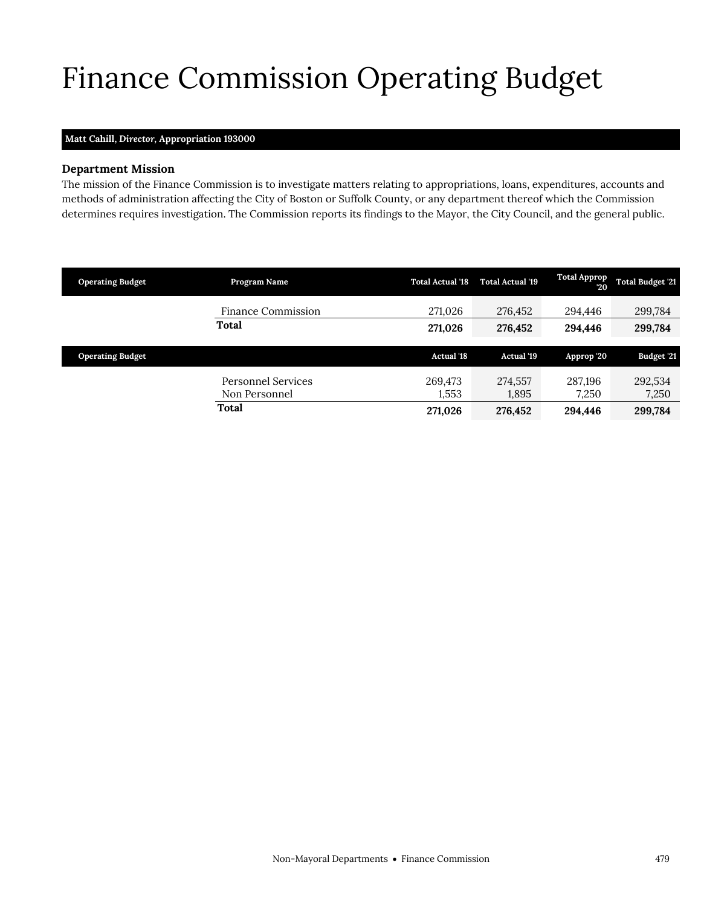# <span id="page-20-0"></span>Finance Commission Operating Budget

### **Matt Cahill,** *Director,* **Appropriation 193000**

### **Department Mission**

The mission of the Finance Commission is to investigate matters relating to appropriations, loans, expenditures, accounts and methods of administration affecting the City of Boston or Suffolk County, or any department thereof which the Commission determines requires investigation. The Commission reports its findings to the Mayor, the City Council, and the general public.

| <b>Operating Budget</b> | Program Name                        | <b>Total Actual '18</b> | <b>Total Actual '19</b> | <b>Total Approp</b><br>20 | <b>Total Budget '21</b> |
|-------------------------|-------------------------------------|-------------------------|-------------------------|---------------------------|-------------------------|
|                         | <b>Finance Commission</b>           | 271,026                 | 276,452                 | 294,446                   | 299,784                 |
|                         | Total                               | 271,026                 | 276,452                 | 294,446                   | 299,784                 |
|                         |                                     |                         |                         |                           |                         |
|                         |                                     |                         |                         |                           |                         |
| <b>Operating Budget</b> |                                     | <b>Actual '18</b>       | <b>Actual '19</b>       | Approp '20                | Budget '21              |
|                         | Personnel Services<br>Non Personnel | 269.473<br>1,553        | 274,557<br>1,895        | 287,196<br>7,250          | 292,534<br>7,250        |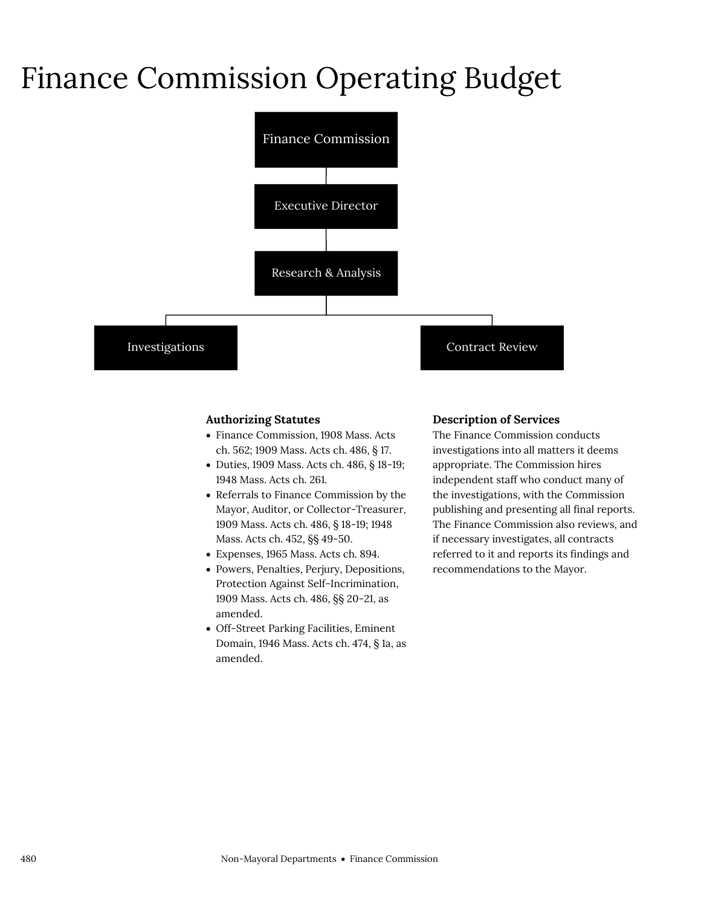### Finance Commission Operating Budget



### **Authorizing Statutes**

- Finance Commission, 1908 Mass. Acts ch. 562; 1909 Mass. Acts ch. 486, § 17.
- Duties, 1909 Mass. Acts ch. 486, § 18-19; 1948 Mass. Acts ch. 261.
- Referrals to Finance Commission by the Mayor, Auditor, or Collector-Treasurer, 1909 Mass. Acts ch. 486, § 18-19; 1948 Mass. Acts ch. 452, §§ 49-50.
- Expenses, 1965 Mass. Acts ch. 894.
- Powers, Penalties, Perjury, Depositions, Protection Against Self-Incrimination, 1909 Mass. Acts ch. 486, §§ 20-21, as amended.
- Off-Street Parking Facilities, Eminent Domain, 1946 Mass. Acts ch. 474, § 1a, as amended.

#### **Description of Services**

The Finance Commission conducts investigations into all matters it deems appropriate. The Commission hires independent staff who conduct many of the investigations, with the Commission publishing and presenting all final reports. The Finance Commission also reviews, and if necessary investigates, all contracts referred to it and reports its findings and recommendations to the Mayor.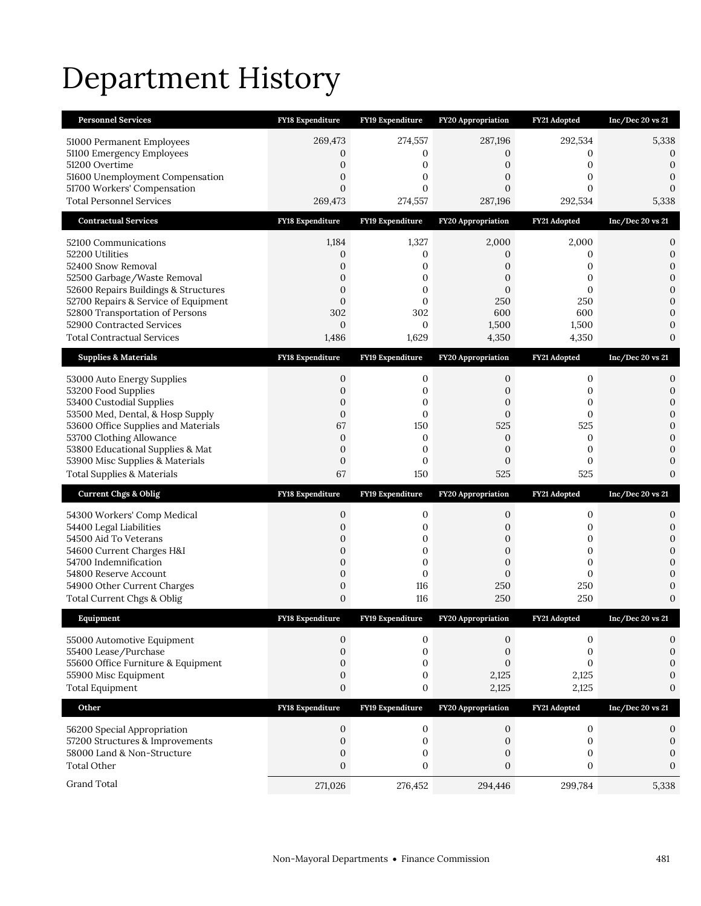# Department History

| <b>Personnel Services</b>                                                    | <b>FY18 Expenditure</b>              | FY19 Expenditure             | <b>FY20 Appropriation</b>        | FY21 Adopted     | $Inc/Dec$ 20 vs 21               |
|------------------------------------------------------------------------------|--------------------------------------|------------------------------|----------------------------------|------------------|----------------------------------|
| 51000 Permanent Employees                                                    | 269,473                              | 274,557                      | 287,196                          | 292,534          | 5,338                            |
| 51100 Emergency Employees                                                    | $\mathbf{0}$                         | 0                            | 0                                | 0                | 0                                |
| 51200 Overtime                                                               | $\boldsymbol{0}$                     | 0                            | 0                                | 0                | $\boldsymbol{0}$                 |
| 51600 Unemployment Compensation<br>51700 Workers' Compensation               | $\boldsymbol{0}$<br>$\mathbf{0}$     | 0<br>$\mathbf{0}$            | 0<br>$\boldsymbol{0}$            | 0<br>0           | 0<br>$\boldsymbol{0}$            |
| <b>Total Personnel Services</b>                                              | 269,473                              | 274,557                      | 287,196                          | 292,534          | 5,338                            |
| <b>Contractual Services</b>                                                  | <b>FY18 Expenditure</b>              | FY19 Expenditure             | <b>FY20 Appropriation</b>        | FY21 Adopted     | $Inc/Dec$ 20 vs 21               |
| 52100 Communications                                                         | 1,184                                | 1,327                        | 2,000                            | 2,000            | 0                                |
| 52200 Utilities                                                              | $\mathbf{0}$                         | 0                            | 0                                | 0                | 0                                |
| 52400 Snow Removal                                                           | $\boldsymbol{0}$                     | 0                            | 0                                | 0                | 0                                |
| 52500 Garbage/Waste Removal                                                  | $\mathbf{0}$                         | $\mathbf{0}$                 | $\overline{0}$                   | 0                | $\mathbf{0}$                     |
| 52600 Repairs Buildings & Structures<br>52700 Repairs & Service of Equipment | $\mathbf{0}$<br>$\mathbf{0}$         | $\mathbf{0}$<br>$\mathbf{0}$ | $\mathbf{0}$<br>250              | 0<br>250         | 0<br>$\overline{0}$              |
| 52800 Transportation of Persons                                              | 302                                  | 302                          | 600                              | 600              | 0                                |
| 52900 Contracted Services                                                    | $\mathbf{0}$                         | $\mathbf{0}$                 | 1,500                            | 1,500            | 0                                |
| <b>Total Contractual Services</b>                                            | 1,486                                | 1,629                        | 4,350                            | 4,350            | $\overline{0}$                   |
| <b>Supplies &amp; Materials</b>                                              | FY18 Expenditure                     | FY19 Expenditure             | FY20 Appropriation               | FY21 Adopted     | Inc/Dec 20 vs 21                 |
| 53000 Auto Energy Supplies                                                   | 0                                    | 0                            | 0                                | 0                | 0                                |
| 53200 Food Supplies                                                          | $\boldsymbol{0}$                     | 0                            | $\boldsymbol{0}$                 | 0                | 0                                |
| 53400 Custodial Supplies                                                     | 0                                    | 0                            | 0                                | 0                | $\overline{0}$                   |
| 53500 Med, Dental, & Hosp Supply<br>53600 Office Supplies and Materials      | $\boldsymbol{0}$<br>67               | 0<br>150                     | $\boldsymbol{0}$<br>525          | 0<br>525         | 0<br>$\overline{0}$              |
| 53700 Clothing Allowance                                                     | $\mathbf{0}$                         | 0                            | 0                                | 0                | $\overline{0}$                   |
| 53800 Educational Supplies & Mat                                             | $\boldsymbol{0}$                     | 0                            | $\boldsymbol{0}$                 | 0                | 0                                |
|                                                                              |                                      |                              |                                  |                  |                                  |
| 53900 Misc Supplies & Materials                                              | $\boldsymbol{0}$                     | $\mathbf{0}$                 | $\mathbf{0}$                     | $\boldsymbol{0}$ | 0                                |
| <b>Total Supplies &amp; Materials</b>                                        | 67                                   | 150                          | 525                              | 525              | $\overline{0}$                   |
| <b>Current Chgs &amp; Oblig</b>                                              | <b>FY18 Expenditure</b>              | FY19 Expenditure             | FY20 Appropriation               | FY21 Adopted     | $Inc/Dec$ 20 vs 21               |
| 54300 Workers' Comp Medical                                                  | 0                                    | 0                            | 0                                | 0                | 0                                |
| 54400 Legal Liabilities                                                      | $\boldsymbol{0}$                     | 0                            | 0                                | 0                | 0                                |
| 54500 Aid To Veterans                                                        | 0                                    | $\boldsymbol{0}$             | 0                                | 0                | $\mathbf{0}$                     |
| 54600 Current Charges H&I                                                    | 0                                    | 0                            | $\overline{0}$                   | 0                | 0                                |
| 54700 Indemnification                                                        | $\boldsymbol{0}$                     | $\mathbf{0}$<br>$\mathbf{0}$ | $\boldsymbol{0}$<br>$\mathbf{0}$ | 0<br>0           | $\overline{0}$<br>$\overline{0}$ |
| 54800 Reserve Account<br>54900 Other Current Charges                         | $\boldsymbol{0}$<br>$\boldsymbol{0}$ | 116                          | 250                              | 250              | 0                                |
| Total Current Chgs & Oblig                                                   | 0                                    | 116                          | 250                              | 250              | $\overline{0}$                   |
| Equipment                                                                    | FY18 Expenditure                     | FY19 Expenditure             | <b>FY20 Appropriation</b>        | FY21 Adopted     | Inc/Dec 20 vs 21                 |
|                                                                              | 0                                    | 0                            | 0                                | 0                | 0                                |
| 55000 Automotive Equipment<br>55400 Lease/Purchase                           | $\mathbf{0}$                         | 0                            | 0                                | 0                | 0                                |
| 55600 Office Furniture & Equipment                                           | 0                                    | 0                            | $\boldsymbol{0}$                 | $\overline{0}$   | $\overline{0}$                   |
| 55900 Misc Equipment                                                         | $\boldsymbol{0}$                     | $\boldsymbol{0}$             | 2,125                            | 2,125            | $\mathbf{0}$                     |
| <b>Total Equipment</b>                                                       | $\boldsymbol{0}$                     | $\boldsymbol{0}$             | 2,125                            | 2,125            | 0                                |
| Other                                                                        | FY18 Expenditure                     | FY19 Expenditure             | FY20 Appropriation               | FY21 Adopted     | Inc/Dec 20 vs 21                 |
| 56200 Special Appropriation                                                  | 0                                    | 0                            | 0                                | $\boldsymbol{0}$ | 0                                |
| 57200 Structures & Improvements                                              | $\boldsymbol{0}$                     | $\boldsymbol{0}$             | $\mathbf{0}$                     | $\boldsymbol{0}$ | $\boldsymbol{0}$                 |
| 58000 Land & Non-Structure                                                   | 0                                    | $\boldsymbol{0}$             | 0                                | 0                | $\boldsymbol{0}$                 |
| <b>Total Other</b>                                                           | $\boldsymbol{0}$                     | $\boldsymbol{0}$             | $\boldsymbol{0}$                 | $\boldsymbol{0}$ | $\mathbf{0}$                     |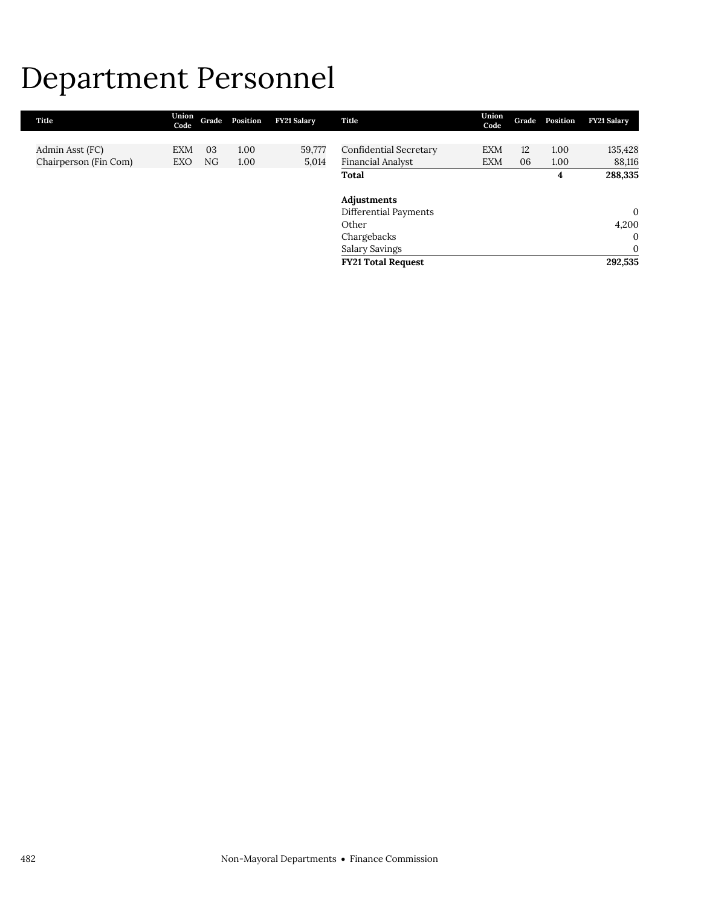### Department Personnel

| Title                 | Union<br>Code |    | Grade Position | <b>FY21 Salary</b> | Title                         | Union<br>Code | Grade | Position | <b>FY21 Salary</b> |
|-----------------------|---------------|----|----------------|--------------------|-------------------------------|---------------|-------|----------|--------------------|
|                       |               |    |                |                    |                               |               |       |          |                    |
| Admin Asst (FC)       | <b>EXM</b>    | 03 | 1.00           | 59,777             | <b>Confidential Secretary</b> | <b>EXM</b>    | 12    | 1.00     | 135,428            |
| Chairperson (Fin Com) | EXO           | NG | 1.00           | 5,014              | Financial Analyst             | <b>EXM</b>    | 06    | 1.00     | 88,116             |
|                       |               |    |                |                    | Total                         |               |       | 4        | 288,335            |
|                       |               |    |                |                    |                               |               |       |          |                    |
|                       |               |    |                |                    | Adjustments                   |               |       |          |                    |
|                       |               |    |                |                    | Differential Payments         |               |       |          | $\mathbf{0}$       |
|                       |               |    |                |                    | Other                         |               |       |          | 4,200              |
|                       |               |    |                |                    | Chargebacks                   |               |       |          | $\Omega$           |
|                       |               |    |                |                    | Salary Savings                |               |       |          | $\mathbf{0}$       |
|                       |               |    |                |                    | <b>FY21 Total Request</b>     |               |       |          | 292,535            |